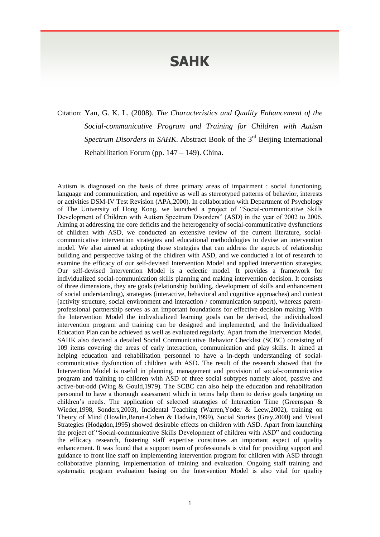## **SAHK**

Citation: Yan, G. K. L. (2008). *The Characteristics and Quality Enhancement of the Social-communicative Program and Training for Children with Autism*  Spectrum Disorders in SAHK. Abstract Book of the 3<sup>rd</sup> Beijing International Rehabilitation Forum (pp. 147 – 149). China.

Autism is diagnosed on the basis of three primary areas of impairment : social functioning, language and communication, and repetitive as well as stereotyped patterns of behavior, interests or activities DSM-IV Test Revision (APA,2000). In collaboration with Department of Psychology of The University of Hong Kong, we launched a project of "Social-communicative Skills Development of Children with Autism Spectrum Disorders" (ASD) in the year of 2002 to 2006. Aiming at addressing the core deficits and the heterogeneity of social-communicative dysfunctions of children with ASD, we conducted an extensive review of the current literature, socialcommunicative intervention strategies and educational methodologies to devise an intervention model. We also aimed at adopting those strategies that can address the aspects of relationship building and perspective taking of the chidlren with ASD, and we conducted a lot of research to examine the efficacy of our self-devised Intervention Model and applied intervention strategies. Our self-devised Intervention Model is a eclectic model. It provides a framework for individualized social-communication skills planning and making intervention decision. It consists of three dimensions, they are goals (relationship building, development of skills and enhancement of social understanding), strategies (interactive, behavioral and cognitive approaches) and context (activity structure, social environment and interaction / communication support), whereas parentprofessional partnership serves as an important foundations for effective decision making. With the Intervention Model the individualized learning goals can be derived, the individualized intervention program and training can be designed and implemented, and the Individualized Education Plan can be achieved as well as evaluated regularly. Apart from the Intervention Model, SAHK also devised a detailed Social Communicative Behavior Checklist (SCBC) consisting of 109 items covering the areas of early interaction, communication and play skills. It aimed at helping education and rehabilitation personnel to have a in-depth understanding of socialcommunicative dysfunction of children with ASD. The result of the research showed that the Intervention Model is useful in planning, management and provision of social-communicative program and training to children with ASD of three social subtypes namely aloof, passive and active-but-odd (Wing & Gould,1979). The SCBC can also help the education and rehabilitation personnel to have a thorough assessment which in terms help them to derive goals targeting on children's needs. The application of selected strategies of Interaction Time (Greenspan & Wieder,1998, Sonders,2003), Incidental Teaching (Warren,Yoder & Leew,2002), training on Theory of Mind (Howlin,Baron-Cohen & Hadwin,1999), Social Stories (Gray,2000) and Visual Strategies (Hodgdon,1995) showed desirable effects on children with ASD. Apart from launching the project of "Social-communicative Skills Development of children with ASD" and conducting the efficacy research, fostering staff expertise constitutes an important aspect of quality enhancement. It was found that a support team of professionals is vital for providing support and guidance to front line staff on implementing intervention program for children with ASD through collaborative planning, implementation of training and evaluation. Ongoing staff training and systematic program evaluation basing on the Intervention Model is also vital for quality